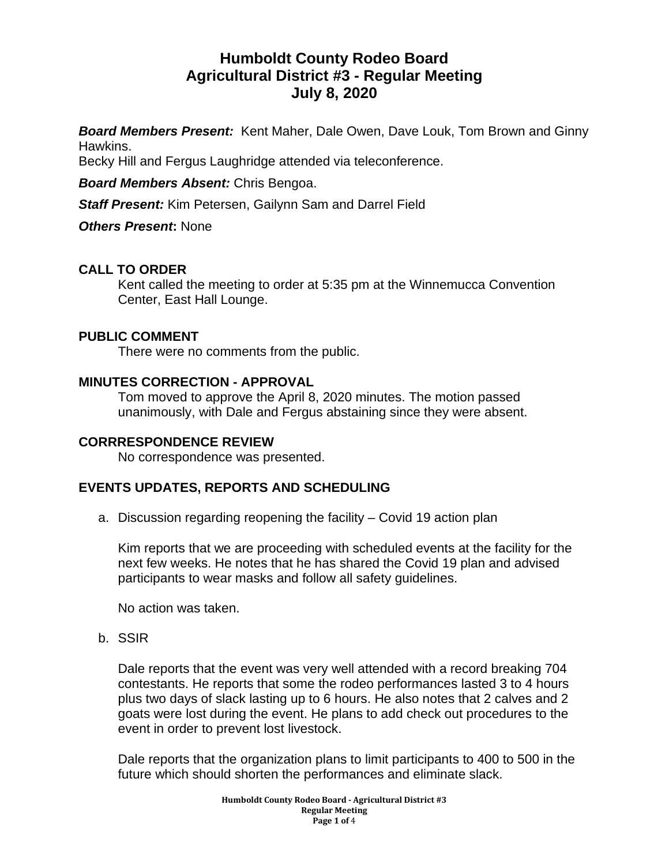# **Humboldt County Rodeo Board Agricultural District #3 - Regular Meeting July 8, 2020**

*Board Members Present:* Kent Maher, Dale Owen, Dave Louk, Tom Brown and Ginny Hawkins.

Becky Hill and Fergus Laughridge attended via teleconference.

*Board Members Absent:* Chris Bengoa.

*Staff Present:* Kim Petersen, Gailynn Sam and Darrel Field

*Others Present***:** None

# **CALL TO ORDER**

Kent called the meeting to order at 5:35 pm at the Winnemucca Convention Center, East Hall Lounge.

#### **PUBLIC COMMENT**

There were no comments from the public.

#### **MINUTES CORRECTION - APPROVAL**

Tom moved to approve the April 8, 2020 minutes. The motion passed unanimously, with Dale and Fergus abstaining since they were absent.

#### **CORRRESPONDENCE REVIEW**

No correspondence was presented.

#### **EVENTS UPDATES, REPORTS AND SCHEDULING**

a. Discussion regarding reopening the facility – Covid 19 action plan

Kim reports that we are proceeding with scheduled events at the facility for the next few weeks. He notes that he has shared the Covid 19 plan and advised participants to wear masks and follow all safety guidelines.

No action was taken.

b. SSIR

Dale reports that the event was very well attended with a record breaking 704 contestants. He reports that some the rodeo performances lasted 3 to 4 hours plus two days of slack lasting up to 6 hours. He also notes that 2 calves and 2 goats were lost during the event. He plans to add check out procedures to the event in order to prevent lost livestock.

Dale reports that the organization plans to limit participants to 400 to 500 in the future which should shorten the performances and eliminate slack.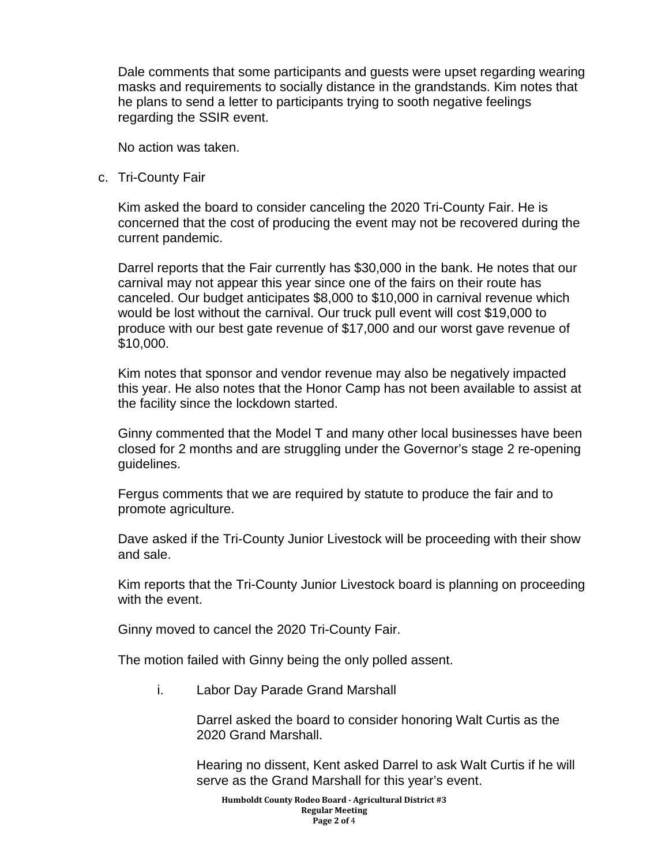Dale comments that some participants and guests were upset regarding wearing masks and requirements to socially distance in the grandstands. Kim notes that he plans to send a letter to participants trying to sooth negative feelings regarding the SSIR event.

No action was taken.

c. Tri-County Fair

Kim asked the board to consider canceling the 2020 Tri-County Fair. He is concerned that the cost of producing the event may not be recovered during the current pandemic.

Darrel reports that the Fair currently has \$30,000 in the bank. He notes that our carnival may not appear this year since one of the fairs on their route has canceled. Our budget anticipates \$8,000 to \$10,000 in carnival revenue which would be lost without the carnival. Our truck pull event will cost \$19,000 to produce with our best gate revenue of \$17,000 and our worst gave revenue of \$10,000.

Kim notes that sponsor and vendor revenue may also be negatively impacted this year. He also notes that the Honor Camp has not been available to assist at the facility since the lockdown started.

Ginny commented that the Model T and many other local businesses have been closed for 2 months and are struggling under the Governor's stage 2 re-opening guidelines.

Fergus comments that we are required by statute to produce the fair and to promote agriculture.

Dave asked if the Tri-County Junior Livestock will be proceeding with their show and sale.

Kim reports that the Tri-County Junior Livestock board is planning on proceeding with the event.

Ginny moved to cancel the 2020 Tri-County Fair.

The motion failed with Ginny being the only polled assent.

i. Labor Day Parade Grand Marshall

Darrel asked the board to consider honoring Walt Curtis as the 2020 Grand Marshall.

Hearing no dissent, Kent asked Darrel to ask Walt Curtis if he will serve as the Grand Marshall for this year's event.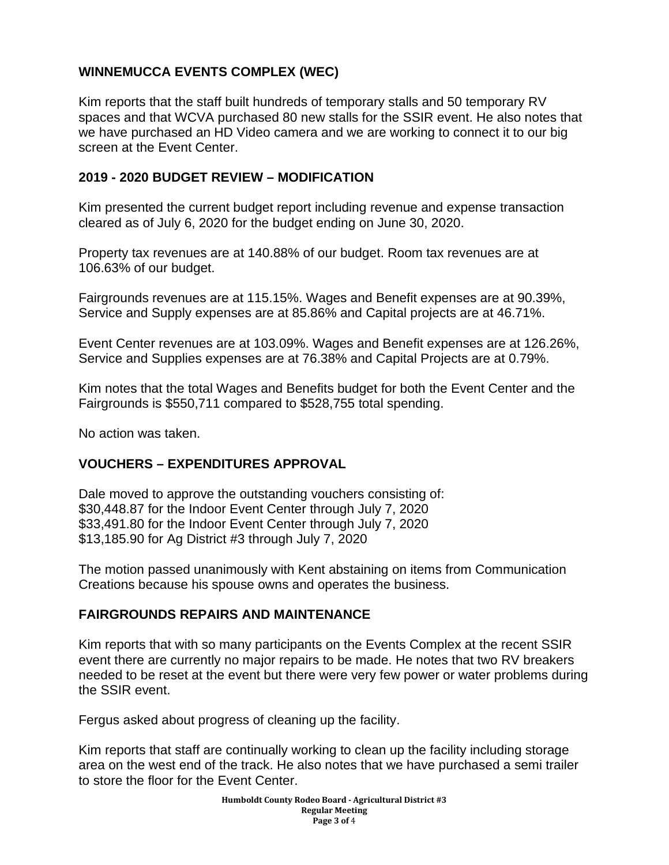# **WINNEMUCCA EVENTS COMPLEX (WEC)**

Kim reports that the staff built hundreds of temporary stalls and 50 temporary RV spaces and that WCVA purchased 80 new stalls for the SSIR event. He also notes that we have purchased an HD Video camera and we are working to connect it to our big screen at the Event Center.

## **2019 - 2020 BUDGET REVIEW – MODIFICATION**

Kim presented the current budget report including revenue and expense transaction cleared as of July 6, 2020 for the budget ending on June 30, 2020.

Property tax revenues are at 140.88% of our budget. Room tax revenues are at 106.63% of our budget.

Fairgrounds revenues are at 115.15%. Wages and Benefit expenses are at 90.39%, Service and Supply expenses are at 85.86% and Capital projects are at 46.71%.

Event Center revenues are at 103.09%. Wages and Benefit expenses are at 126.26%, Service and Supplies expenses are at 76.38% and Capital Projects are at 0.79%.

Kim notes that the total Wages and Benefits budget for both the Event Center and the Fairgrounds is \$550,711 compared to \$528,755 total spending.

No action was taken.

# **VOUCHERS – EXPENDITURES APPROVAL**

Dale moved to approve the outstanding vouchers consisting of: \$30,448.87 for the Indoor Event Center through July 7, 2020 \$33,491.80 for the Indoor Event Center through July 7, 2020 \$13,185.90 for Ag District #3 through July 7, 2020

The motion passed unanimously with Kent abstaining on items from Communication Creations because his spouse owns and operates the business.

#### **FAIRGROUNDS REPAIRS AND MAINTENANCE**

Kim reports that with so many participants on the Events Complex at the recent SSIR event there are currently no major repairs to be made. He notes that two RV breakers needed to be reset at the event but there were very few power or water problems during the SSIR event.

Fergus asked about progress of cleaning up the facility.

Kim reports that staff are continually working to clean up the facility including storage area on the west end of the track. He also notes that we have purchased a semi trailer to store the floor for the Event Center.